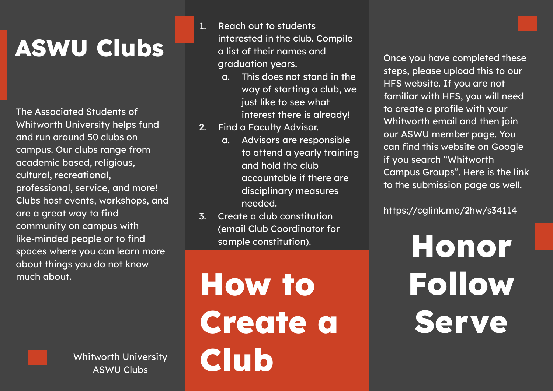## **ASWU Clubs**

The Associated Students of Whitworth University helps fund and run around 50 clubs on campus. Our clubs range from academic based, religious, cultural, recreational, professional, service, and more! Clubs host events, workshops, and are a great way to find community on campus with like-minded people or to find spaces where you can learn more about things you do not know much about.

> Whitworth University ASWU Clubs

1. Reach out to students interested in the club. Compile a list of their names and graduation years.

- a. This does not stand in the way of starting a club, we just like to see what interest there is already!
- 2. Find a Faculty Advisor.
	- a. Advisors are responsible to attend a yearly training and hold the club accountable if there are disciplinary measures needed.
- 3. Create a club constitution (email Club Coordinator for sample constitution).

**How to Create a Club**

Once you have completed these steps, please upload this to our HFS website. If you are not familiar with HFS, you will need to create a profile with your Whitworth email and then join our ASWU member page. You can find this website on Google if you search "Whitworth Campus Groups". Here is the link to the submission page as well.

https://cglink.me/2hw/s34114

**Honor Follow Serve**